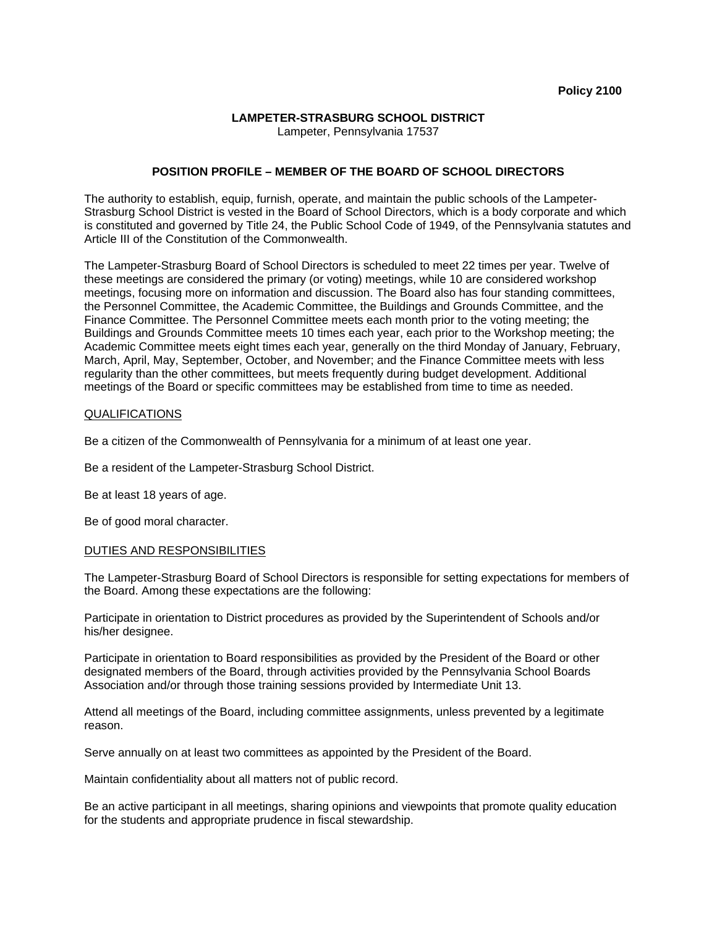## **LAMPETER-STRASBURG SCHOOL DISTRICT**

Lampeter, Pennsylvania 17537

## **POSITION PROFILE – MEMBER OF THE BOARD OF SCHOOL DIRECTORS**

The authority to establish, equip, furnish, operate, and maintain the public schools of the Lampeter-Strasburg School District is vested in the Board of School Directors, which is a body corporate and which is constituted and governed by Title 24, the Public School Code of 1949, of the Pennsylvania statutes and Article III of the Constitution of the Commonwealth.

The Lampeter-Strasburg Board of School Directors is scheduled to meet 22 times per year. Twelve of these meetings are considered the primary (or voting) meetings, while 10 are considered workshop meetings, focusing more on information and discussion. The Board also has four standing committees, the Personnel Committee, the Academic Committee, the Buildings and Grounds Committee, and the Finance Committee. The Personnel Committee meets each month prior to the voting meeting; the Buildings and Grounds Committee meets 10 times each year, each prior to the Workshop meeting; the Academic Committee meets eight times each year, generally on the third Monday of January, February, March, April, May, September, October, and November; and the Finance Committee meets with less regularity than the other committees, but meets frequently during budget development. Additional meetings of the Board or specific committees may be established from time to time as needed.

## QUALIFICATIONS

Be a citizen of the Commonwealth of Pennsylvania for a minimum of at least one year.

Be a resident of the Lampeter-Strasburg School District.

Be at least 18 years of age.

Be of good moral character.

## DUTIES AND RESPONSIBILITIES

The Lampeter-Strasburg Board of School Directors is responsible for setting expectations for members of the Board. Among these expectations are the following:

Participate in orientation to District procedures as provided by the Superintendent of Schools and/or his/her designee.

Participate in orientation to Board responsibilities as provided by the President of the Board or other designated members of the Board, through activities provided by the Pennsylvania School Boards Association and/or through those training sessions provided by Intermediate Unit 13.

Attend all meetings of the Board, including committee assignments, unless prevented by a legitimate reason.

Serve annually on at least two committees as appointed by the President of the Board.

Maintain confidentiality about all matters not of public record.

Be an active participant in all meetings, sharing opinions and viewpoints that promote quality education for the students and appropriate prudence in fiscal stewardship.